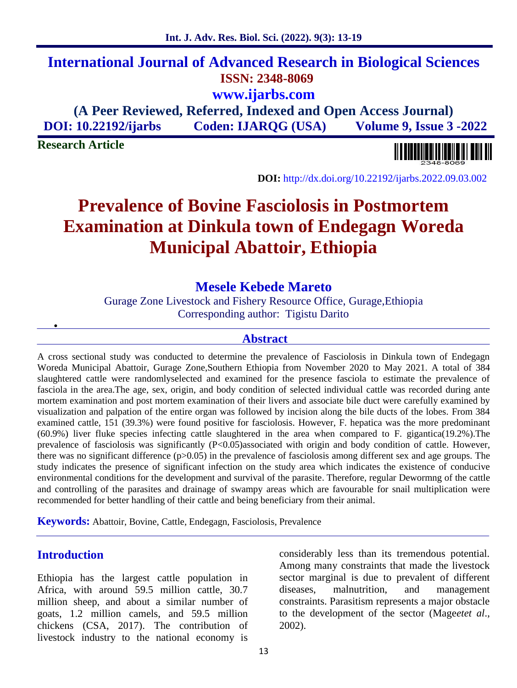considerably less than its tremendous potential. Among many constraints that made the livestock sector marginal is due to prevalent of different malnutrition, and management constraints. Parasitism represents a major obstacle to the development of the sector (Mage*etet al*., 2002).

# **Abstract**

A cross sectional study was conducted to determine the prevalence of Fasciolosis in Dinkula town of Endegagn Woreda Municipal Abattoir, Gurage Zone,Southern Ethiopia from November 2020 to May 2021. A total of 384 slaughtered cattle were randomlyselected and examined for the presence fasciola to estimate the prevalence of fasciola in the area.The age, sex, origin, and body condition of selected individual cattle was recorded during ante mortem examination and post mortem examination of their livers and associate bile duct were carefully examined by visualization and palpation of the entire organ was followed by incision along the bile ducts of the lobes. From 384 examined cattle, 151 (39.3%) were found positive for fasciolosis. However, F. hepatica was the more predominant (60.9%) liver fluke species infecting cattle slaughtered in the area when compared to F. gigantica(19.2%).The prevalence of fasciolosis was significantly (P<0.05)associated with origin and body condition of cattle. However, there was no significant difference (p>0.05) in the prevalence of fasciolosis among different sex and age groups. The study indicates the presence of significant infection on the study area which indicates the existence of conducive environmental conditions for the development and survival of the parasite. Therefore, regular Dewormng of the cattle and controlling of the parasites and drainage of swampy areas which are favourable for snail multiplication were recommended for better handling of their cattle and being beneficiary from their animal.

**Keywords:** Abattoir, Bovine, Cattle, Endegagn, Fasciolosis, Prevalence

# **Introduction**

Ethiopia has the largest cattle population in Africa, with around 59.5 million cattle, 30.7 diseases, million sheep, and about a similar number of goats, 1.2 million camels, and 59.5 million chickens (CSA, 2017). The contribution of livestock industry to the national economy is

# **Int. J. Adv. Res. Biol. Sci. (2022). 9(3): 13-19**

# **International Journal of Advanced Research in Biological Sciences ISSN: 2348-8069 www.ijarbs.com**

**(A Peer Reviewed, Referred, Indexed and Open Access Journal) DOI: 10.22192/ijarbs Coden: IJARQG (USA) Volume 9, Issue 3 -2022**

**Research Article**

 $\frac{1}{2}$ 

<u> A BALAN DA ALAM DA BARA</u>

**DOI:** http://dx.doi.org/10.22192/ijarbs.2022.09.03.002

# **Prevalence of Bovine Fasciolosis in Postmortem Examination at Dinkula town of Endegagn Woreda Municipal Abattoir, Ethiopia**

**Mesele Kebede Mareto** Gurage Zone Livestock and Fishery Resource Office, Gurage,Ethiopia Corresponding author: Tigistu Darito

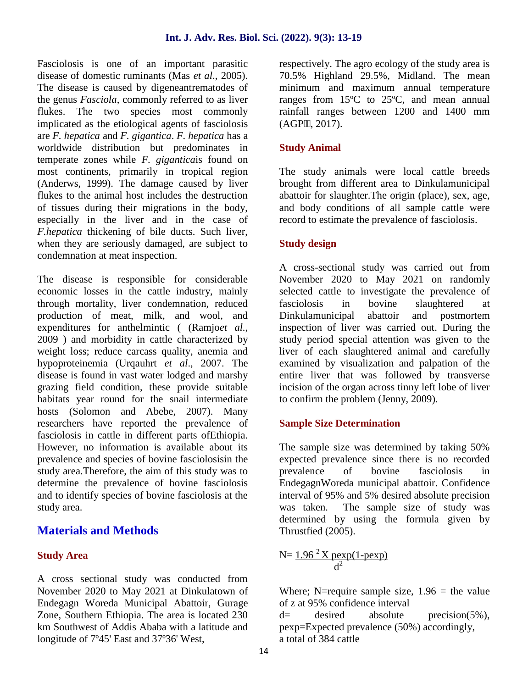Fasciolosis is one of an important parasitic disease of domestic ruminants (Mas *et al*., 2005). The disease is caused by digeneantrematodes of the genus *Fasciola*, commonly referred to as liver flukes. The two species most commonly implicated as the etiological agents of fasciolosis are *F. hepatica* and *F. gigantica*. *F. hepatica* has a worldwide distribution but predominates in temperate zones while *F. gigantica*is found on most continents, primarily in tropical region (Anderws, 1999). The damage caused by liver flukes to the animal host includes the destruction of tissues during their migrations in the body, especially in the liver and in the case of *F.hepatica* thickening of bile ducts. Such liver, when they are seriously damaged, are subject to condemnation at meat inspection.

The disease is responsible for considerable economic losses in the cattle industry, mainly through mortality, liver condemnation, reduced production of meat, milk, and wool, and expenditures for anthelmintic ( (Ramjo*et al.*, 2009 ) and morbidity in cattle characterized by weight loss; reduce carcass quality, anemia and hypoproteinemia (Urqauhrt *et al*., 2007. The disease is found in vast water lodged and marshy grazing field condition, these provide suitable habitats year round for the snail intermediate hosts (Solomon and Abebe, 2007). Many researchers have reported the prevalence of fasciolosis in cattle in different parts ofEthiopia. However, no information is available about its prevalence and species of bovine fasciolosisin the study area.Therefore, the aim of this study was to determine the prevalence of bovine fasciolosis and to identify species of bovine fasciolosis at the study area.

# **Materials and Methods**

#### **Study Area**

A cross sectional study was conducted from November 2020 to May 2021 at Dinkulatown of Endegagn Woreda Municipal Abattoir, Gurage Zone, Southern Ethiopia. The area is located 230 km Southwest of Addis Ababa with a latitude and longitude of 7º45' East and 37º36' West,

respectively. The agro ecology of the study area is 70.5% Highland 29.5%, Midland. The mean minimum and maximum annual temperature ranges from 15ºC to 25ºC, and mean annual rainfall ranges between 1200 and 1400 mm  $(AGP, 2017).$ 

### **Study Animal**

The study animals were local cattle breeds brought from different area to Dinkulamunicipal abattoir for slaughter.The origin (place), sex, age, and body conditions of all sample cattle were record to estimate the prevalence of fasciolosis.

#### **Study design**

A cross-sectional study was carried out from November 2020 to May 2021 on randomly selected cattle to investigate the prevalence of in bovine slaughtered at Dinkulamunicipal abattoir and postmortem inspection of liver was carried out. During the study period special attention was given to the liver of each slaughtered animal and carefully examined by visualization and palpation of the entire liver that was followed by transverse incision of the organ across tinny left lobe of liver to confirm the problem (Jenny, 2009).

#### **Sample Size Determination**

The sample size was determined by taking 50% expected prevalence since there is no recorded prevalence of bovine fasciolosis in EndegagnWoreda municipal abattoir. Confidence interval of 95% and 5% desired absolute precision was taken. The sample size of study was determined by using the formula given by Thrustfied (2005).

$$
N = \frac{1.96^2 \text{ X} \text{ pexp}(1-\text{ pexp})}{d^2}
$$

Where; N=require sample size,  $1.96$  = the value of z at 95% confidence interval

 $desired$  absolute precision(5%), pexp=Expected prevalence (50%) accordingly, a total of 384 cattle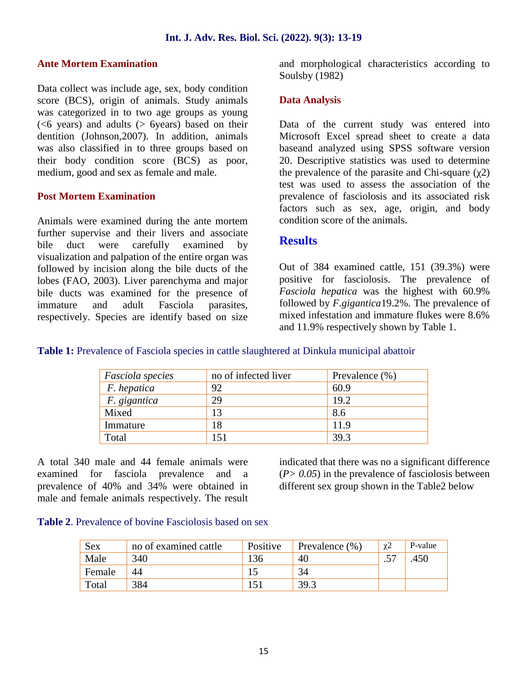#### **Ante Mortem Examination**

Data collect was include age, sex, body condition score (BCS), origin of animals. Study animals was categorized in to two age groups as young (<6 years) and adults (> 6years) based on their dentition (Johnson,2007). In addition, animals was also classified in to three groups based on their body condition score (BCS) as poor, medium, good and sex as female and male.

#### **Post Mortem Examination**

Animals were examined during the ante mortem further supervise and their livers and associate bile duct were carefully examined by visualization and palpation of the entire organ was followed by incision along the bile ducts of the lobes (FAO, 2003). Liver parenchyma and major bile ducts was examined for the presence of immature and adult Fasciola parasites, respectively. Species are identify based on size and morphological characteristics according to Soulsby (1982)

#### **Data Analysis**

Data of the current study was entered into Microsoft Excel spread sheet to create a data baseand analyzed using SPSS software version 20. Descriptive statistics was used to determine the prevalence of the parasite and Chi-square  $(2)$ test was used to assess the association of the prevalence of fasciolosis and its associated risk factors such as sex, age, origin, and body condition score of the animals.

#### **Results**

Out of 384 examined cattle, 151 (39.3%) were positive for fasciolosis. The prevalence of *Fasciola hepatica* was the highest with 60.9% followed by *F.gigantica*19.2%. The prevalence of mixed infestation and immature flukes were 8.6% and 11.9% respectively shown by Table 1.

**Table 1:** Prevalence of Fasciola species in cattle slaughtered at Dinkula municipal abattoir

| Fasciola species | no of infected liver | Prevalence $(\% )$ |
|------------------|----------------------|--------------------|
| F. hepatica      | 92                   | 60.9               |
| F. gigantica     | 29                   | 19.2               |
| Mixed            | 13                   | 8.6                |
| Immature         | 18                   | 11.9               |
| Total            | 51                   | 39.3               |

A total 340 male and 44 female animals were examined for fasciola prevalence and a prevalence of 40% and 34% were obtained in male and female animals respectively. The result indicated that there was no a significant difference  $(P > 0.05)$  in the prevalence of fasciolosis between different sex group shown in the Table2 below

**Table 2**. Prevalence of bovine Fasciolosis based on sex

| Sex    | no of examined cattle | Positive | Prevalence $(\%)$ |         | P-value |
|--------|-----------------------|----------|-------------------|---------|---------|
| Male   | 340                   | 36       | 40                | $\cdot$ | 450     |
| Female | 44                    |          |                   |         |         |
| Total  | 384                   |          | 39.3              |         |         |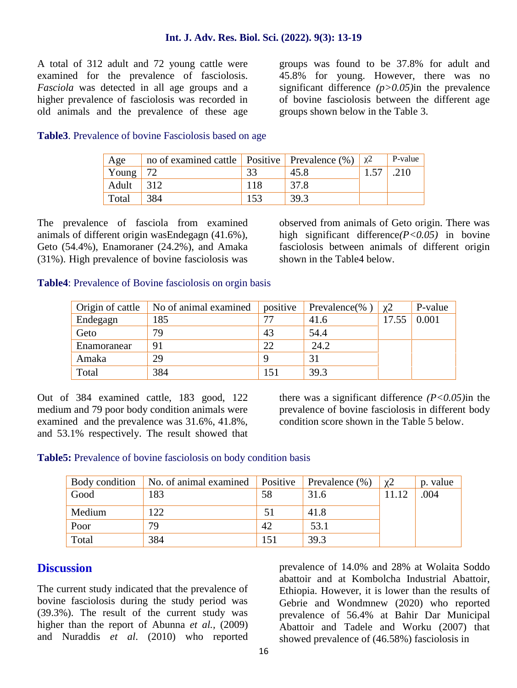A total of 312 adult and 72 young cattle were examined for the prevalence of fasciolosis. *Fasciola* was detected in all age groups and a higher prevalence of fasciolosis was recorded in old animals and the prevalence of these age

groups was found to be 37.8% for adult and 45.8% for young. However, there was no significant difference *(p>0.05)*in the prevalence of bovine fasciolosis between the different age groups shown below in the Table 3.

#### **Table3**. Prevalence of bovine Fasciolosis based on age

| Age   | no of examined cattle   Positive   Prevalence $(\%)$   2 |      | P-value |
|-------|----------------------------------------------------------|------|---------|
| Young |                                                          | 45.8 |         |
| Adult |                                                          | 37.8 |         |
| Total |                                                          | 39.3 |         |

The prevalence of fasciola from examined animals of different origin wasEndegagn (41.6%), Geto (54.4%), Enamoraner (24.2%), and Amaka (31%). High prevalence of bovine fasciolosis was

observed from animals of Geto origin. There was high significant difference*(P<0.05)* in bovine fasciolosis between animals of different origin shown in the Table4 below.

#### **Table4**: Prevalence of Bovine fasciolosis on orgin basis

| Origin of cattle | No of animal examined | positive | Prevalence(% | $\mathcal{D}$ | P-value |
|------------------|-----------------------|----------|--------------|---------------|---------|
| Endegagn         | 185                   |          | 41.6         | 17.55         | 0.001   |
| Geto             | 79                    | 43       | 54.4         |               |         |
| Enamoranear      | 91                    | 22       | 24.2         |               |         |
| Amaka            | 29                    |          | 31           |               |         |
| Total            | 384                   | 51ء      | 39.3         |               |         |

Out of 384 examined cattle, 183 good, 122 medium and 79 poor body condition animals were examined and the prevalence was 31.6%, 41.8%, and 53.1% respectively. The result showed that there was a significant difference *(P<0.05)*in the prevalence of bovine fasciolosis in different body condition score shown in the Table 5 below.

#### **Table5:** Prevalence of bovine fasciolosis on body condition basis

| Body condition | No. of animal examined | Positive | Prevalence $(\% )$ | p. value |
|----------------|------------------------|----------|--------------------|----------|
| Good           | 183                    | 58       | 31.6               | .004     |
| Medium         | 122                    |          | 41.8               |          |
| Poor           | 79                     | 42       | 53.1               |          |
| Total          | 384                    |          | 39.3               |          |

### **Discussion**

The current study indicated that the prevalence of bovine fasciolosis during the study period was (39.3%). The result of the current study was higher than the report of Abunna *et al.*, (2009) and Nuraddis *et al*. (2010) who reported

prevalence of 14.0% and 28% at Wolaita Soddo abattoir and at Kombolcha Industrial Abattoir, Ethiopia. However, it is lower than the results of Gebrie and Wondmnew (2020) who reported prevalence of 56.4% at Bahir Dar Municipal Abattoir and Tadele and Worku (2007) that showed prevalence of (46.58%) fasciolosis in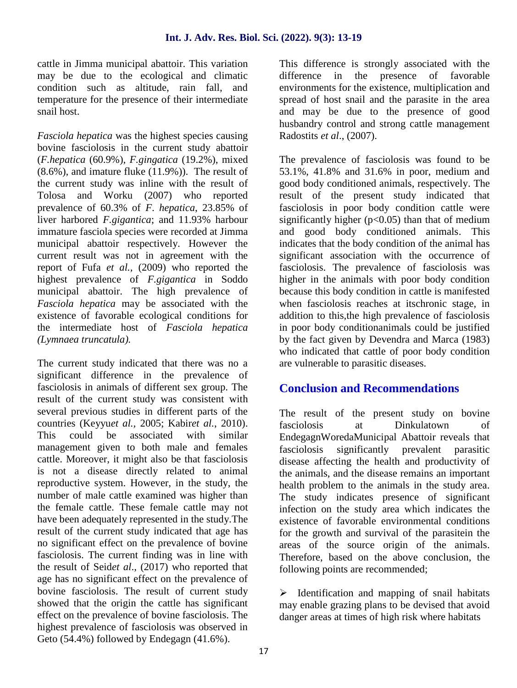cattle in Jimma municipal abattoir. This variation may be due to the ecological and climatic condition such as altitude, rain fall, and temperature for the presence of their intermediate snail host.

*Fasciola hepatica* was the highest species causing bovine fasciolosis in the current study abattoir (*F.hepatica* (60.9%), *F.gingatica* (19.2%), mixed (8.6%), and imature fluke (11.9%)). The result of the current study was inline with the result of Tolosa and Worku (2007) who reported prevalence of 60.3% of *F*. *hepatica*, 23.85% of liver harbored *F.gigantica*; and 11.93% harbour immature fasciola species were recorded at Jimma municipal abattoir respectively. However the current result was not in agreement with the report of Fufa *et al.,* (2009) who reported the highest prevalence of *F.gigantica* in Soddo municipal abattoir. The high prevalence of *Fasciola hepatica* may be associated with the existence of favorable ecological conditions for the intermediate host of *Fasciola hepatica (Lymnaea truncatula).*

The current study indicated that there was no a significant difference in the prevalence of fasciolosis in animals of different sex group. The result of the current study was consistent with several previous studies in different parts of the countries (Keyyu*et al.,* 2005; Kabir*et al.*, 2010). This could be associated with similar management given to both male and females cattle. Moreover, it might also be that fasciolosis is not a disease directly related to animal reproductive system. However, in the study, the number of male cattle examined was higher than the female cattle. These female cattle may not have been adequately represented in the study.The result of the current study indicated that age has no significant effect on the prevalence of bovine fasciolosis. The current finding was in line with the result of Seid*et al*., (2017) who reported that age has no significant effect on the prevalence of bovine fasciolosis. The result of current study showed that the origin the cattle has significant effect on the prevalence of bovine fasciolosis. The highest prevalence of fasciolosis was observed in Geto (54.4%) followed by Endegagn (41.6%).

This difference is strongly associated with the the presence of favorable environments for the existence, multiplication and spread of host snail and the parasite in the area and may be due to the presence of good husbandry control and strong cattle management Radostits *et al*., (2007).

The prevalence of fasciolosis was found to be 53.1%, 41.8% and 31.6% in poor, medium and good body conditioned animals, respectively. The result of the present study indicated that fasciolosis in poor body condition cattle were significantly higher  $(p<0.05)$  than that of medium and good body conditioned animals. This indicates that the body condition of the animal has significant association with the occurrence of fasciolosis. The prevalence of fasciolosis was higher in the animals with poor body condition because this body condition in cattle is manifested when fasciolosis reaches at itschronic stage, in addition to this,the high prevalence of fasciolosis in poor body conditionanimals could be justified by the fact given by Devendra and Marca (1983) who indicated that cattle of poor body condition are vulnerable to parasitic diseases.

## **Conclusion and Recommendations**

The result of the present study on bovine fasciolosis at Dinkulatown of EndegagnWoredaMunicipal Abattoir reveals that fasciolosis significantly prevalent parasitic disease affecting the health and productivity of the animals, and the disease remains an important health problem to the animals in the study area. The study indicates presence of significant infection on the study area which indicates the existence of favorable environmental conditions for the growth and survival of the parasitein the areas of the source origin of the animals. Therefore, based on the above conclusion, the following points are recommended;

 $\triangleright$  Identification and mapping of snail habitats may enable grazing plans to be devised that avoid danger areas at times of high risk where habitats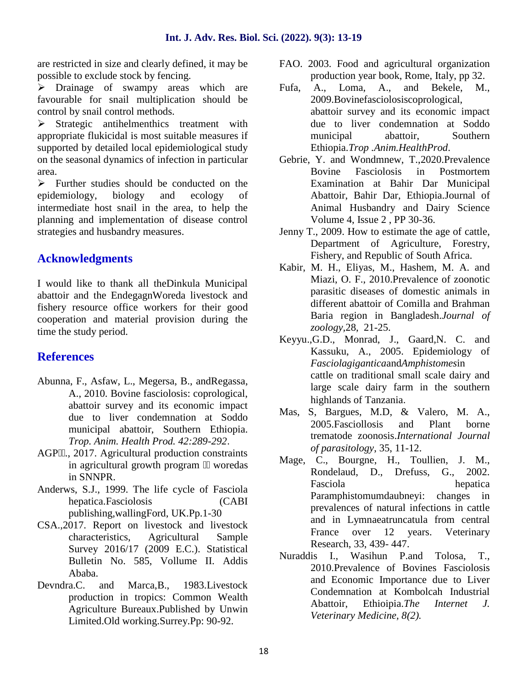are restricted in size and clearly defined, it may be possible to exclude stock by fencing.

 $\triangleright$  Drainage of swampy areas which are Fufa, favourable for snail multiplication should be control by snail control methods.

 $\triangleright$  Strategic antihelmenthics treatment with appropriate flukicidal is most suitable measures if supported by detailed local epidemiological study on the seasonal dynamics of infection in particular area.

 $\triangleright$  Further studies should be conducted on the epidemiology, biology and ecology of intermediate host snail in the area, to help the planning and implementation of disease control strategies and husbandry measures.

### **Acknowledgments**

I would like to thank all theDinkula Municipal abattoir and the EndegagnWoreda livestock and fishery resource office workers for their good cooperation and material provision during the time the study period.

## **References**

- Abunna, F., Asfaw, L., Megersa, B., andRegassa, A., 2010. Bovine fasciolosis: coprological, abattoir survey and its economic impact due to liver condemnation at Soddo Mas, municipal abattoir, Southern Ethiopia. *Trop. Anim. Health Prod. 42:289-292*.
- AGP ., 2017. Agricultural production constraints in agricultural growth program woredas in SNNPR.
- Anderws, S.J., 1999. The life cycle of Fasciola hepatica.Fasciolosis (CABI publishing,wallingFord, UK.Pp.1-30
- CSA.,2017. Report on livestock and livestock characteristics, Agricultural Sample Survey 2016/17 (2009 E.C.). Statistical Bulletin No. 585, Vollume II. Addis Ababa.
- Devndra.C. and Marca,B., 1983.Livestock production in tropics: Common Wealth Agriculture Bureaux.Published by Unwin Limited.Old working.Surrey.Pp: 90-92.
- FAO. 2003. Food and agricultural organization production year book, Rome, Italy, pp 32.
- A., Loma, A., and Bekele, M., 2009.Bovinefasciolosiscoprological, abattoir survey and its economic impact due to liver condemnation at Soddo municipal abattoir, Southern Ethiopia.*Trop .Anim.HealthProd*.
- Gebrie, Y. and Wondmnew, T.,2020.Prevalence Bovine Fasciolosis in Postmortem Examination at Bahir Dar Municipal Abattoir, Bahir Dar, Ethiopia.Journal of Animal Husbandry and Dairy Science Volume 4, Issue 2 , PP 30-36.
- Jenny T., 2009. How to estimate the age of cattle, Department of Agriculture, Forestry, Fishery, and Republic of South Africa.
- Kabir, M. H., Eliyas, M., Hashem, M. A. and Miazi, O. F., 2010.Prevalence of zoonotic parasitic diseases of domestic animals in different abattoir of Comilla and Brahman Baria region in Bangladesh.*Journal of zoology,*28, 21-25.
- Keyyu.,G.D., Monrad, J., Gaard,N. C. and Kassuku, A., 2005. Epidemiology of *Fasciolagigantica*and*Amphistomes*in cattle on traditional small scale dairy and large scale dairy farm in the southern highlands of Tanzania.
- S. Bargues, M.D. & Valero, M. A., 2005.Fasciollosis and Plant borne trematode zoonosis.*International Journal of parasitology*, 35, 11-12.
- Mage, C., Bourgne, H., Toullien, J. M., Rondelaud, D., Drefuss, G., 2002. Fasciola hepatica Paramphistomumdaubneyi: changes in prevalences of natural infections in cattle and in Lymnaeatruncatula from central France over 12 years. Veterinary Research, 33, 439- 447.
- Nuraddis I., Wasihun P.and Tolosa, T., 2010.Prevalence of Bovines Fasciolosis and Economic Importance due to Liver Condemnation at Kombolcah Industrial Abattoir, Ethioipia.*The Internet J. Veterinary Medicine, 8(2).*